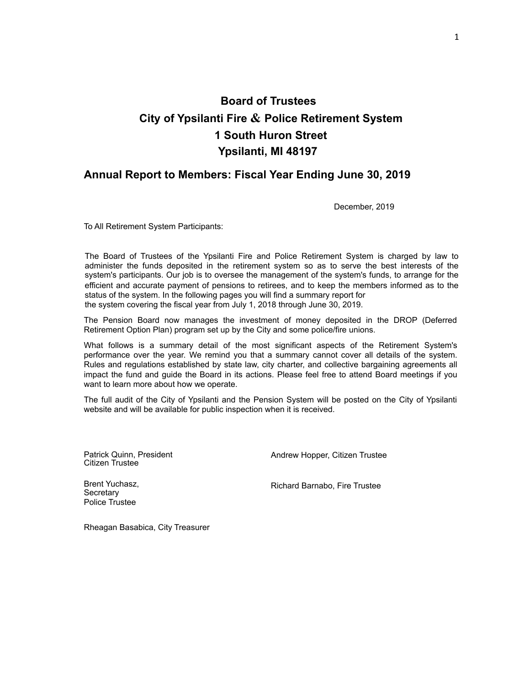# **Board of Trustees City of Ypsilanti Fire & Police Retirement System 1 South Huron Street Ypsilanti, MI 48197**

### **Annual Report to Members: Fiscal Year Ending June 30, 2019**

December, 2019

To All Retirement System Participants:

The Board of Trustees of the Ypsilanti Fire and Police Retirement System is charged by law to administer the funds deposited in the retirement system so as to serve the best interests of the system's participants. Our job is to oversee the management of the system's funds, to arrange for the efficient and accurate payment of pensions to retirees, and to keep the members informed as to the status of the system. In the following pages you will find a summary report for the system covering the fiscal year from July 1, 2018 through June 30, 2019.

The Pension Board now manages the investment of money deposited in the DROP (Deferred Retirement Option Plan) program set up by the City and some police/fire unions.

What follows is a summary detail of the most significant aspects of the Retirement System's performance over the year. We remind you that a summary cannot cover all details of the system. Rules and regulations established by state law, city charter, and collective bargaining agreements all impact the fund and guide the Board in its actions. Please feel free to attend Board meetings if you want to learn more about how we operate.

The full audit of the City of Ypsilanti and the Pension System will be posted on the City of Ypsilanti website and will be available for public inspection when it is received.

Patrick Quinn, President Citizen Trustee

Andrew Hopper, Citizen Trustee

Brent Yuchasz, **Secretary** Police Trustee

Richard Barnabo, Fire Trustee

Rheagan Basabica, City Treasurer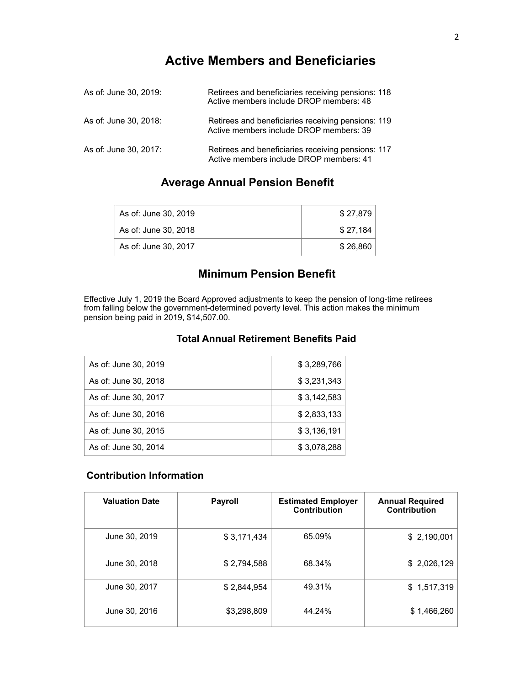# **Active Members and Beneficiaries**

| As of: June 30, 2019: | Retirees and beneficiaries receiving pensions: 118<br>Active members include DROP members: 48 |
|-----------------------|-----------------------------------------------------------------------------------------------|
| As of: June 30, 2018: | Retirees and beneficiaries receiving pensions: 119<br>Active members include DROP members: 39 |
| As of: June 30, 2017: | Retirees and beneficiaries receiving pensions: 117<br>Active members include DROP members: 41 |

# **Average Annual Pension Benefit**

| As of: June 30, 2019 | \$27,879 |
|----------------------|----------|
| As of: June 30, 2018 | \$27.184 |
| As of: June 30, 2017 | \$26.860 |

# **Minimum Pension Benefit**

Effective July 1, 2019 the Board Approved adjustments to keep the pension of long-time retirees from falling below the government-determined poverty level. This action makes the minimum pension being paid in 2019, \$14,507.00.

### **Total Annual Retirement Benefits Paid**

| As of: June 30, 2019 | \$3,289,766 |
|----------------------|-------------|
| As of: June 30, 2018 | \$3,231,343 |
| As of: June 30, 2017 | \$3,142,583 |
| As of: June 30, 2016 | \$2,833,133 |
| As of: June 30, 2015 | \$3,136,191 |
| As of: June 30, 2014 | \$3,078,288 |

### **Contribution Information**

| <b>Valuation Date</b> | <b>Payroll</b> | <b>Estimated Employer</b><br>Contribution | <b>Annual Required</b><br>Contribution |
|-----------------------|----------------|-------------------------------------------|----------------------------------------|
| June 30, 2019         | \$3,171,434    | 65.09%                                    | \$2,190,001                            |
| June 30, 2018         | \$2,794,588    | 68.34%                                    | \$2,026,129                            |
| June 30, 2017         | \$2,844,954    | 49.31%                                    | \$1,517,319                            |
| June 30, 2016         | \$3,298,809    | 44.24%                                    | \$1,466,260                            |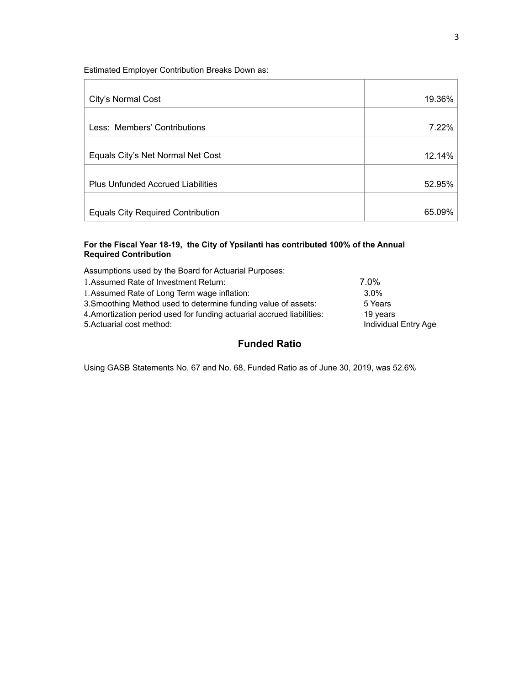Estimated Employer Contribution Breaks Down as:

| City's Normal Cost                       | 19.36% |
|------------------------------------------|--------|
| Less: Members' Contributions             | 7.22%  |
| Equals City's Net Normal Net Cost        | 12.14% |
| <b>Plus Unfunded Accrued Liabilities</b> | 52.95% |
| <b>Equals City Required Contribution</b> | 65.09% |

#### **For the Fiscal Year 18-19, the City of Ypsilanti has contributed 100% of the Annual Required Contribution**

Assumptions used by the Board for Actuarial Purposes:

| 1. Assumed Rate of Investment Return:                                  | 7.0%                 |
|------------------------------------------------------------------------|----------------------|
| 1. Assumed Rate of Long Term wage inflation:                           | $3.0\%$              |
| 3. Smoothing Method used to determine funding value of assets:         | 5 Years              |
| 4. Amortization period used for funding actuarial accrued liabilities: | 19 years             |
| 5. Actuarial cost method:                                              | Individual Entry Age |
|                                                                        |                      |

### **Funded Ratio**

Using GASB Statements No. 67 and No. 68, Funded Ratio as of June 30, 2019, was 52.6%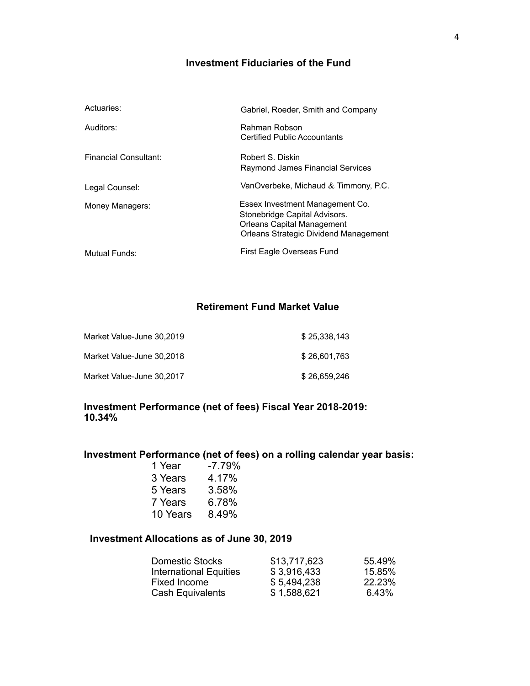# **Investment Fiduciaries of the Fund**

| Actuaries:                   | Gabriel, Roeder, Smith and Company                                                                                                                    |
|------------------------------|-------------------------------------------------------------------------------------------------------------------------------------------------------|
| Auditors:                    | Rahman Robson<br><b>Certified Public Accountants</b>                                                                                                  |
| <b>Financial Consultant:</b> | Robert S. Diskin<br>Raymond James Financial Services                                                                                                  |
| Legal Counsel:               | VanOverbeke, Michaud $&$ Timmony, P.C.                                                                                                                |
| Money Managers:              | Essex Investment Management Co.<br>Stonebridge Capital Advisors.<br><b>Orleans Capital Management</b><br><b>Orleans Strategic Dividend Management</b> |
| Mutual Funds:                | First Eagle Overseas Fund                                                                                                                             |

# **Retirement Fund Market Value**

| Market Value-June 30,2019 | \$25.338.143 |
|---------------------------|--------------|
| Market Value-June 30,2018 | \$26,601.763 |
| Market Value-June 30,2017 | \$26.659.246 |

## **Investment Performance (net of fees) Fiscal Year 2018-2019: 10.34%**

# **Investment Performance (net of fees) on a rolling calendar year basis:**

| -7.79% |
|--------|
| 4.17%  |
| 3.58%  |
| 6.78%  |
| 8.49%  |
|        |

### **Investment Allocations as of June 30, 2019**

| <b>Domestic Stocks</b>        | \$13,717,623 | 55.49% |
|-------------------------------|--------------|--------|
| <b>International Equities</b> | \$3,916,433  | 15.85% |
| Fixed Income                  | \$5,494,238  | 22.23% |
| Cash Equivalents              | \$1,588,621  | 6.43%  |